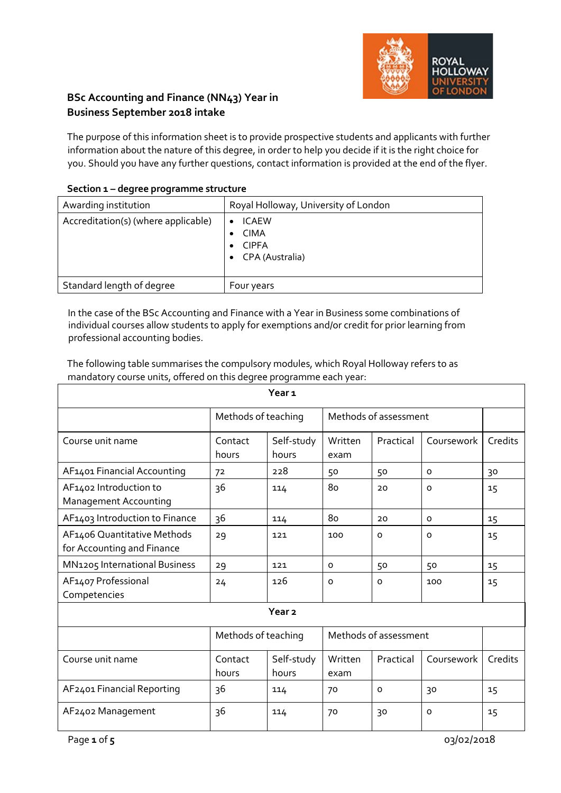

# **BSc Accounting and Finance (NN43) Year in Business September 2018 intake**

The purpose of this information sheet is to provide prospective students and applicants with further information about the nature of this degree, in order to help you decide if it is the right choice for you. Should you have any further questions, contact information is provided at the end of the flyer.

| Section 1 – degree programme structure |                                                                |
|----------------------------------------|----------------------------------------------------------------|
| Awarding institution                   | Royal Holloway, University of London                           |
| Accreditation(s) (where applicable)    | <b>ICAEW</b><br><b>CIMA</b><br><b>CIPFA</b><br>CPA (Australia) |
| Standard length of degree              | Four years                                                     |

### **Section 1 – degree programme structure**

In the case of the BSc Accounting and Finance with a Year in Business some combinations of individual courses allow students to apply for exemptions and/or credit for prior learning from professional accounting bodies.

The following table summarises the compulsory modules, which Royal Holloway refers to as mandatory course units, offered on this degree programme each year:

| Year <sub>1</sub>                                         |                     |                     |                       |                       |            |         |
|-----------------------------------------------------------|---------------------|---------------------|-----------------------|-----------------------|------------|---------|
|                                                           | Methods of teaching |                     |                       | Methods of assessment |            |         |
| Course unit name                                          | Contact<br>hours    | Self-study<br>hours | Written<br>exam       | Practical             | Coursework | Credits |
| AF1401 Financial Accounting                               | 72                  | 228                 | 50                    | 50                    | $\circ$    | 30      |
| AF1402 Introduction to<br><b>Management Accounting</b>    | 36                  | 114                 | 80                    | 20                    | $\Omega$   | 15      |
| AF1403 Introduction to Finance                            | 36                  | 114                 | 80                    | 20                    | $\circ$    | 15      |
| AF1406 Quantitative Methods<br>for Accounting and Finance | 29                  | 121                 | 100                   | $\circ$               | $\Omega$   | 15      |
| MN1205 International Business                             | 29                  | 121                 | $\circ$               | 50                    | 50         | 15      |
| AF1407 Professional<br>Competencies                       | 24                  | 126                 | $\circ$               | $\circ$               | 100        | 15      |
| Year <sub>2</sub>                                         |                     |                     |                       |                       |            |         |
|                                                           | Methods of teaching |                     | Methods of assessment |                       |            |         |
| Course unit name                                          | Contact<br>hours    | Self-study<br>hours | Written<br>exam       | Practical             | Coursework | Credits |
| AF2401 Financial Reporting                                | 36                  | 114                 | 70                    | $\circ$               | 30         | 15      |
| AF2402 Management                                         | 36                  | 114                 | 70                    | 30                    | $\circ$    | 15      |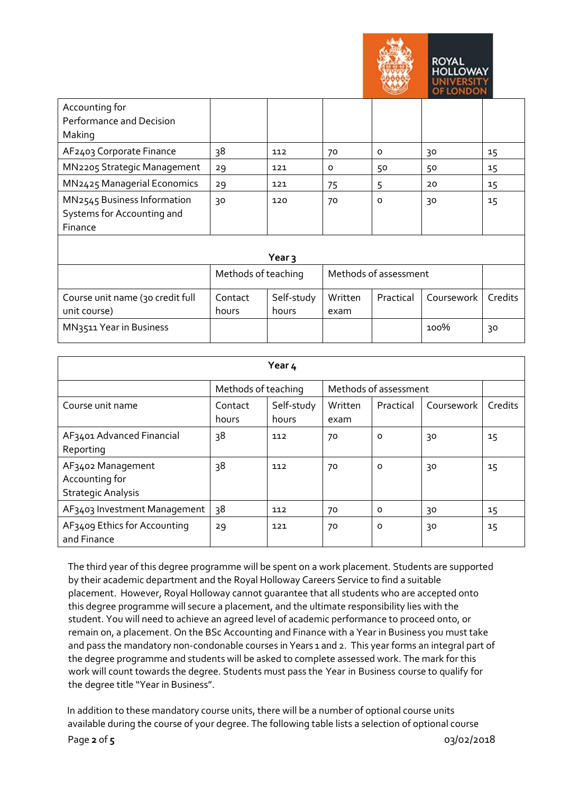

| Accounting for              |                   |     |    |          |    |    |
|-----------------------------|-------------------|-----|----|----------|----|----|
| Performance and Decision    |                   |     |    |          |    |    |
| Making                      |                   |     |    |          |    |    |
| AF2403 Corporate Finance    | 38                | 112 | 70 | $\Omega$ | 30 | 15 |
| MN2205 Strategic Management | 29                | 121 | 0  | 50       | 50 | 15 |
| MN2425 Managerial Economics | 29                | 121 | 75 | 5        | 20 | 15 |
| MN2545 Business Information | 30                | 120 | 70 | O        | 30 | 15 |
| Systems for Accounting and  |                   |     |    |          |    |    |
| Finance                     |                   |     |    |          |    |    |
|                             |                   |     |    |          |    |    |
|                             | Year <sub>3</sub> |     |    |          |    |    |
|                             | .                 |     | .  |          |    |    |

|                                                  | Methods of teaching |                     |                 | Methods of assessment |            |                |
|--------------------------------------------------|---------------------|---------------------|-----------------|-----------------------|------------|----------------|
| Course unit name (30 credit full<br>unit course) | Contact<br>hours    | Self-study<br>hours | Written<br>exam | Practical             | Coursework | <b>Credits</b> |
| <b>MN3511 Year in Business</b>                   |                     |                     |                 |                       | 100%       | 30             |

| Year 4                                                           |                     |                     |                 |                       |            |         |
|------------------------------------------------------------------|---------------------|---------------------|-----------------|-----------------------|------------|---------|
|                                                                  | Methods of teaching |                     |                 | Methods of assessment |            |         |
| Course unit name                                                 | Contact<br>hours    | Self-study<br>hours | Written<br>exam | Practical             | Coursework | Credits |
| AF3401 Advanced Financial<br>Reporting                           | 38                  | 112                 | 70              | o                     | 30         | $15 \,$ |
| AF3402 Management<br>Accounting for<br><b>Strategic Analysis</b> | 38                  | 112                 | 70              | $\circ$               | 30         | 15      |
| AF3403 Investment Management                                     | 38                  | 112                 | 70              | $\Omega$              | 30         | $15 \,$ |
| AF3409 Ethics for Accounting<br>and Finance                      | 29                  | 121                 | 70              | o                     | 30         | 15      |

The third year of this degree programme will be spent on a work placement. Students are supported by their academic department and the Royal Holloway Careers Service to find a suitable placement. However, Royal Holloway cannot guarantee that all students who are accepted onto this degree programme will secure a placement, and the ultimate responsibility lies with the student. You will need to achieve an agreed level of academic performance to proceed onto, or remain on, a placement. On the BSc Accounting and Finance with a Year in Business you must take and pass the mandatory non-condonable courses in Years 1 and 2. This year forms an integral part of the degree programme and students will be asked to complete assessed work. The mark for this work will count towards the degree. Students must pass the Year in Business course to qualify for the degree title "Year in Business".

Page **2** of **5** 03/02/2018 In addition to these mandatory course units, there will be a number of optional course units available during the course of your degree. The following table lists a selection of optional course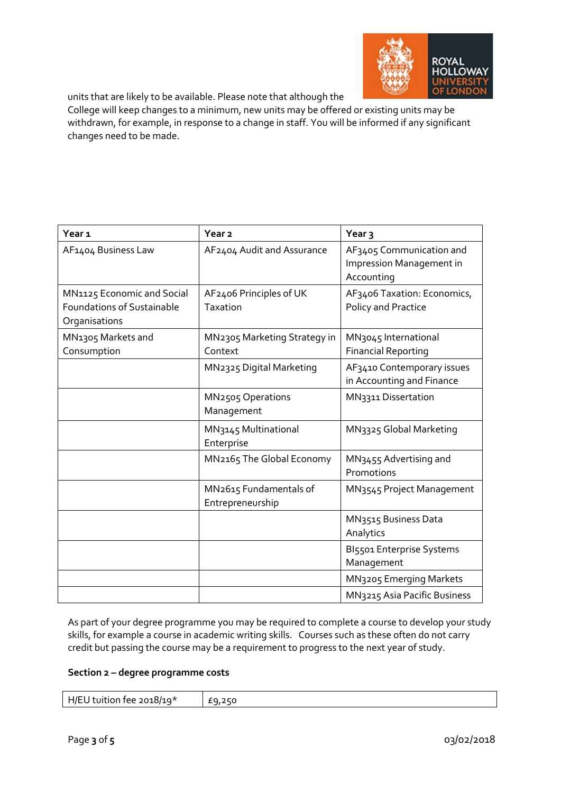

units that are likely to be available. Please note that although the

College will keep changes to a minimum, new units may be offered or existing units may be withdrawn, for example, in response to a change in staff. You will be informed if any significant changes need to be made.

| Year <sub>1</sub>                                                                | Year <sub>2</sub>                           | Year <sub>3</sub>                                                  |
|----------------------------------------------------------------------------------|---------------------------------------------|--------------------------------------------------------------------|
| AF1404 Business Law                                                              | AF2404 Audit and Assurance                  | AF3405 Communication and<br>Impression Management in<br>Accounting |
| MN1125 Economic and Social<br><b>Foundations of Sustainable</b><br>Organisations | AF2406 Principles of UK<br>Taxation         | AF3406 Taxation: Economics,<br>Policy and Practice                 |
| MN <sub>1305</sub> Markets and<br>Consumption                                    | MN2305 Marketing Strategy in<br>Context     | MN <sub>3045</sub> International<br><b>Financial Reporting</b>     |
|                                                                                  | MN <sub>2325</sub> Digital Marketing        | AF3410 Contemporary issues<br>in Accounting and Finance            |
|                                                                                  | MN <sub>2505</sub> Operations<br>Management | MN3311 Dissertation                                                |
|                                                                                  | MN3145 Multinational<br>Enterprise          | MN3325 Global Marketing                                            |
|                                                                                  | MN2165 The Global Economy                   | MN <sub>3455</sub> Advertising and<br>Promotions                   |
|                                                                                  | MN2615 Fundamentals of<br>Entrepreneurship  | MN3545 Project Management                                          |
|                                                                                  |                                             | MN3515 Business Data<br>Analytics                                  |
|                                                                                  |                                             | BI5501 Enterprise Systems<br>Management                            |
|                                                                                  |                                             | MN3205 Emerging Markets                                            |
|                                                                                  |                                             | MN3215 Asia Pacific Business                                       |

As part of your degree programme you may be required to complete a course to develop your study skills, for example a course in academic writing skills. Courses such as these often do not carry credit but passing the course may be a requirement to progress to the next year of study.

#### **Section 2 – degree programme costs**

| $H/EU$ tuition fee 2018/19*<br>£9,250 |
|---------------------------------------|
|---------------------------------------|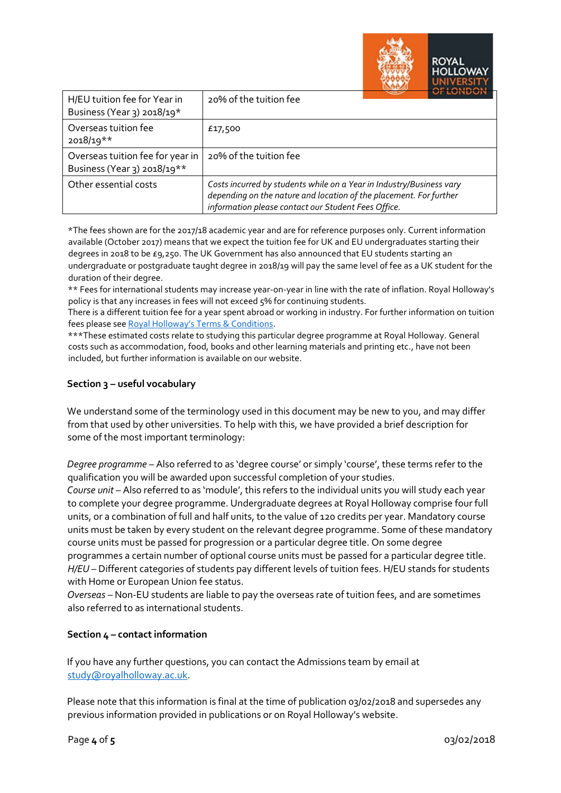|                                                                 | 112121771                                                                                                                                                                                         |
|-----------------------------------------------------------------|---------------------------------------------------------------------------------------------------------------------------------------------------------------------------------------------------|
| H/EU tuition fee for Year in<br>Business (Year 3) 2018/19*      | 20% of the tuition fee                                                                                                                                                                            |
| Overseas tuition fee<br>$2018/19**$                             | £17,500                                                                                                                                                                                           |
| Overseas tuition fee for year in<br>Business (Year 3) 2018/19** | 20% of the tuition fee                                                                                                                                                                            |
| Other essential costs                                           | Costs incurred by students while on a Year in Industry/Business vary<br>depending on the nature and location of the placement. For further<br>information please contact our Student Fees Office. |

\*The fees shown are for the 2017/18 academic year and are for reference purposes only. Current information available (October 2017) means that we expect the tuition fee for UK and EU undergraduates starting their degrees in 2018 to be £9,250. The UK Government has also announced that EU students starting an undergraduate or postgraduate taught degree in 2018/19 will pay the same level of fee as a UK student for the duration of their degree.

\*\* Fees for international students may increase year-on-year in line with the rate of inflation. Royal Holloway's policy is that any increases in fees will not exceed 5% for continuing students.

There is a different tuition fee for a year spent abroad or working in industry. For further information on tuition fees please se[e Royal Holloway's Terms & Conditions.](https://www.royalholloway.ac.uk/studyhere/undergraduate/applying/admissionspolicy.aspx)

\*\*\*These estimated costs relate to studying this particular degree programme at Royal Holloway. General costs such as accommodation, food, books and other learning materials and printing etc., have not been included, but further information is available on our website.

## **Section 3 – useful vocabulary**

We understand some of the terminology used in this document may be new to you, and may differ from that used by other universities. To help with this, we have provided a brief description for some of the most important terminology:

*Degree programme* – Also referred to as 'degree course' or simply 'course', these terms refer to the qualification you will be awarded upon successful completion of your studies.

*Course unit* – Also referred to as 'module', this refers to the individual units you will study each year to complete your degree programme. Undergraduate degrees at Royal Holloway comprise four full units, or a combination of full and half units, to the value of 120 credits per year. Mandatory course units must be taken by every student on the relevant degree programme. Some of these mandatory course units must be passed for progression or a particular degree title. On some degree programmes a certain number of optional course units must be passed for a particular degree title. *H/EU* – Different categories of students pay different levels of tuition fees. H/EU stands for students with Home or European Union fee status.

*Overseas* – Non-EU students are liable to pay the overseas rate of tuition fees, and are sometimes also referred to as international students.

## **Section 4 – contact information**

If you have any further questions, you can contact the Admissions team by email at study@royalholloway.ac.uk.

Please note that this information is final at the time of publication 03/02/2018 and supersedes any previous information provided in publications or on Royal Holloway's website.